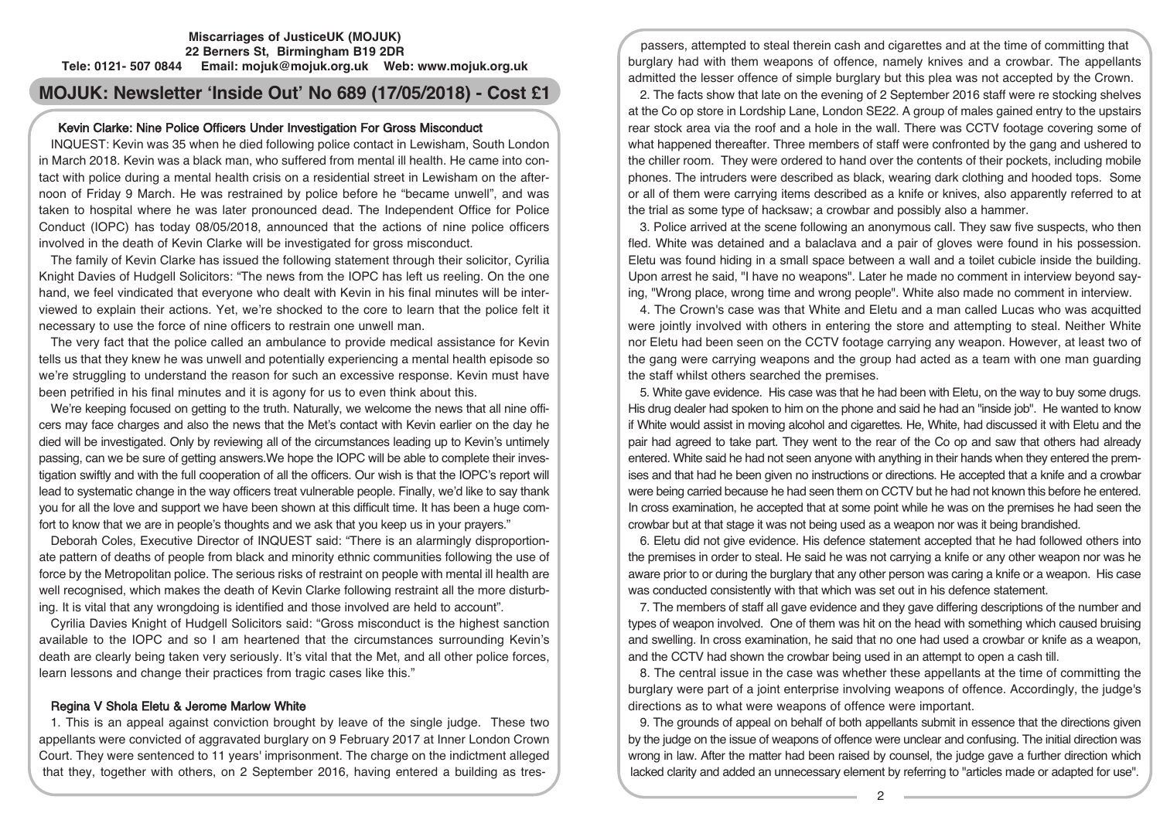#### **Miscarriages of JusticeUK (MOJUK) 22 Berners St, Birmingham B19 2DR Tele: 0121- 507 0844 Email: mojuk@mojuk.org.uk Web: www.mojuk.org.uk**

# **MOJUK: Newsletter 'Inside Out' No 689 (17/05/2018) - Cost £1**

# Kevin Clarke: Nine Police Officers Under Investigation For Gross Misconduct

INQUEST: Kevin was 35 when he died following police contact in Lewisham, South London in March 2018. Kevin was a black man, who suffered from mental ill health. He came into contact with police during a mental health crisis on a residential street in Lewisham on the afternoon of Friday 9 March. He was restrained by police before he "became unwell", and was taken to hospital where he was later pronounced dead. The Independent Office for Police Conduct (IOPC) has today 08/05/2018, announced that the actions of nine police officers involved in the death of Kevin Clarke will be investigated for gross misconduct.

The family of Kevin Clarke has issued the following statement through their solicitor, Cyrilia Knight Davies of Hudgell Solicitors: "The news from the IOPC has left us reeling. On the one hand, we feel vindicated that everyone who dealt with Kevin in his final minutes will be interviewed to explain their actions. Yet, we're shocked to the core to learn that the police felt it necessary to use the force of nine officers to restrain one unwell man.

The very fact that the police called an ambulance to provide medical assistance for Kevin tells us that they knew he was unwell and potentially experiencing a mental health episode so we're struggling to understand the reason for such an excessive response. Kevin must have been petrified in his final minutes and it is agony for us to even think about this.

We're keeping focused on getting to the truth. Naturally, we welcome the news that all nine officers may face charges and also the news that the Met's contact with Kevin earlier on the day he died will be investigated. Only by reviewing all of the circumstances leading up to Kevin's untimely passing, can we be sure of getting answers.We hope the IOPC will be able to complete their investigation swiftly and with the full cooperation of all the officers. Our wish is that the IOPC's report will lead to systematic change in the way officers treat vulnerable people. Finally, we'd like to say thank you for all the love and support we have been shown at this difficult time. It has been a huge comfort to know that we are in people's thoughts and we ask that you keep us in your prayers."

Deborah Coles, Executive Director of INQUEST said: "There is an alarmingly disproportionate pattern of deaths of people from black and minority ethnic communities following the use of force by the Metropolitan police. The serious risks of restraint on people with mental ill health are well recognised, which makes the death of Kevin Clarke following restraint all the more disturbing. It is vital that any wrongdoing is identified and those involved are held to account".

Cyrilia Davies Knight of Hudgell Solicitors said: "Gross misconduct is the highest sanction available to the IOPC and so I am heartened that the circumstances surrounding Kevin's death are clearly being taken very seriously. It's vital that the Met, and all other police forces, learn lessons and change their practices from tragic cases like this."

## Regina V Shola Eletu & Jerome Marlow White

1. This is an appeal against conviction brought by leave of the single judge. These two appellants were convicted of aggravated burglary on 9 February 2017 at Inner London Crown Court. They were sentenced to 11 years' imprisonment. The charge on the indictment alleged that they, together with others, on 2 September 2016, having entered a building as tres-

passers, attempted to steal therein cash and cigarettes and at the time of committing that burglary had with them weapons of offence, namely knives and a crowbar. The appellants admitted the lesser offence of simple burglary but this plea was not accepted by the Crown.

2. The facts show that late on the evening of 2 September 2016 staff were re stocking shelves at the Co op store in Lordship Lane, London SE22. A group of males gained entry to the upstairs rear stock area via the roof and a hole in the wall. There was CCTV footage covering some of what happened thereafter. Three members of staff were confronted by the gang and ushered to the chiller room. They were ordered to hand over the contents of their pockets, including mobile phones. The intruders were described as black, wearing dark clothing and hooded tops. Some or all of them were carrying items described as a knife or knives, also apparently referred to at the trial as some type of hacksaw; a crowbar and possibly also a hammer.

3. Police arrived at the scene following an anonymous call. They saw five suspects, who then fled. White was detained and a balaclava and a pair of gloves were found in his possession. Eletu was found hiding in a small space between a wall and a toilet cubicle inside the building. Upon arrest he said, "I have no weapons". Later he made no comment in interview beyond saying, "Wrong place, wrong time and wrong people". White also made no comment in interview.

4. The Crown's case was that White and Eletu and a man called Lucas who was acquitted were jointly involved with others in entering the store and attempting to steal. Neither White nor Eletu had been seen on the CCTV footage carrying any weapon. However, at least two of the gang were carrying weapons and the group had acted as a team with one man guarding the staff whilst others searched the premises.

5. White gave evidence. His case was that he had been with Eletu, on the way to buy some drugs. His drug dealer had spoken to him on the phone and said he had an "inside job". He wanted to know if White would assist in moving alcohol and cigarettes. He, White, had discussed it with Eletu and the pair had agreed to take part. They went to the rear of the Co op and saw that others had already entered. White said he had not seen anyone with anything in their hands when they entered the premises and that had he been given no instructions or directions. He accepted that a knife and a crowbar were being carried because he had seen them on CCTV but he had not known this before he entered. In cross examination, he accepted that at some point while he was on the premises he had seen the crowbar but at that stage it was not being used as a weapon nor was it being brandished.

6. Eletu did not give evidence. His defence statement accepted that he had followed others into the premises in order to steal. He said he was not carrying a knife or any other weapon nor was he aware prior to or during the burglary that any other person was caring a knife or a weapon. His case was conducted consistently with that which was set out in his defence statement.

7. The members of staff all gave evidence and they gave differing descriptions of the number and types of weapon involved. One of them was hit on the head with something which caused bruising and swelling. In cross examination, he said that no one had used a crowbar or knife as a weapon, and the CCTV had shown the crowbar being used in an attempt to open a cash till.

8. The central issue in the case was whether these appellants at the time of committing the burglary were part of a joint enterprise involving weapons of offence. Accordingly, the judge's directions as to what were weapons of offence were important.

9. The grounds of appeal on behalf of both appellants submit in essence that the directions given by the judge on the issue of weapons of offence were unclear and confusing. The initial direction was wrong in law. After the matter had been raised by counsel, the judge gave a further direction which lacked clarity and added an unnecessary element by referring to "articles made or adapted for use".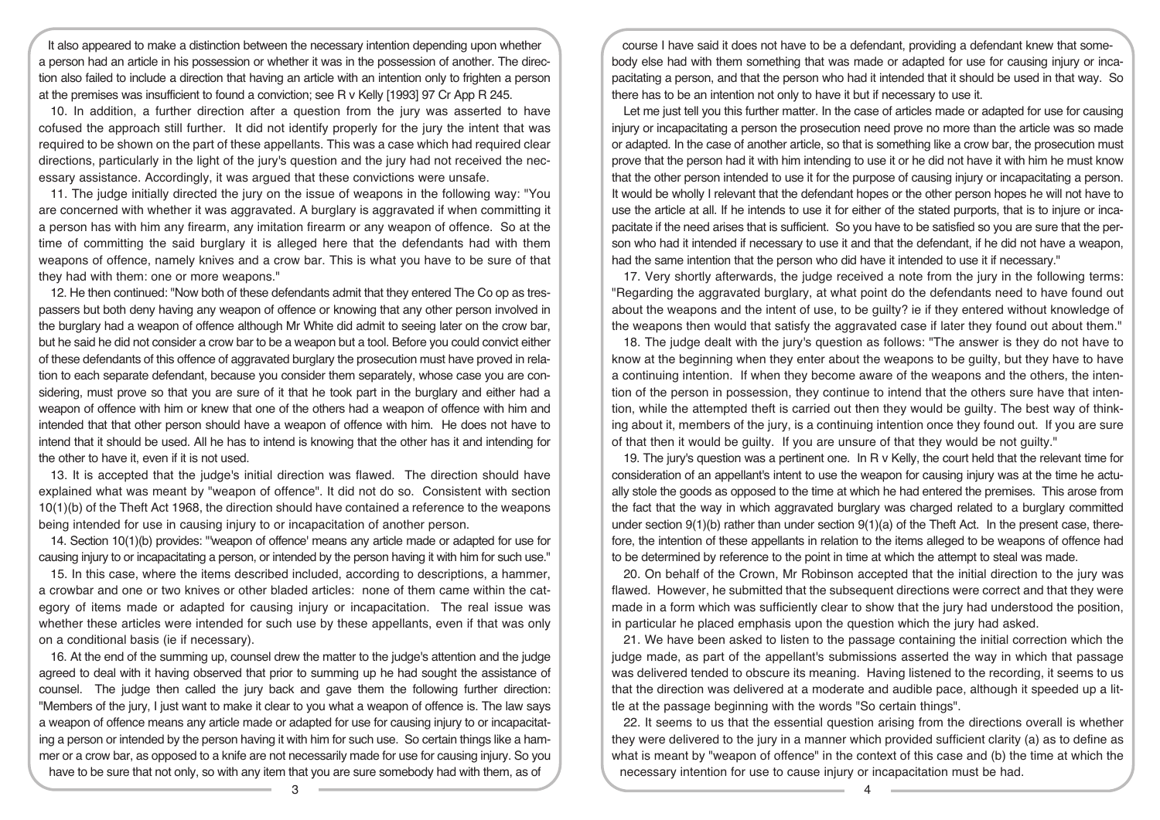It also appeared to make a distinction between the necessary intention depending upon whether a person had an article in his possession or whether it was in the possession of another. The direction also failed to include a direction that having an article with an intention only to frighten a person at the premises was insufficient to found a conviction; see R v Kelly [1993] 97 Cr App R 245.

10. In addition, a further direction after a question from the jury was asserted to have cofused the approach still further. It did not identify properly for the jury the intent that was required to be shown on the part of these appellants. This was a case which had required clear directions, particularly in the light of the jury's question and the jury had not received the necessary assistance. Accordingly, it was argued that these convictions were unsafe.

11. The judge initially directed the jury on the issue of weapons in the following way: "You are concerned with whether it was aggravated. A burglary is aggravated if when committing it a person has with him any firearm, any imitation firearm or any weapon of offence. So at the time of committing the said burglary it is alleged here that the defendants had with them weapons of offence, namely knives and a crow bar. This is what you have to be sure of that they had with them: one or more weapons."

12. He then continued: "Now both of these defendants admit that they entered The Co op as trespassers but both deny having any weapon of offence or knowing that any other person involved in the burglary had a weapon of offence although Mr White did admit to seeing later on the crow bar, but he said he did not consider a crow bar to be a weapon but a tool. Before you could convict either of these defendants of this offence of aggravated burglary the prosecution must have proved in relation to each separate defendant, because you consider them separately, whose case you are considering, must prove so that you are sure of it that he took part in the burglary and either had a weapon of offence with him or knew that one of the others had a weapon of offence with him and intended that that other person should have a weapon of offence with him. He does not have to intend that it should be used. All he has to intend is knowing that the other has it and intending for the other to have it, even if it is not used.

13. It is accepted that the judge's initial direction was flawed. The direction should have explained what was meant by "weapon of offence". It did not do so. Consistent with section 10(1)(b) of the Theft Act 1968, the direction should have contained a reference to the weapons being intended for use in causing injury to or incapacitation of another person.

14. Section 10(1)(b) provides: "'weapon of offence' means any article made or adapted for use for causing injury to or incapacitating a person, or intended by the person having it with him for such use."

15. In this case, where the items described included, according to descriptions, a hammer, a crowbar and one or two knives or other bladed articles: none of them came within the category of items made or adapted for causing injury or incapacitation. The real issue was whether these articles were intended for such use by these appellants, even if that was only on a conditional basis (ie if necessary).

16. At the end of the summing up, counsel drew the matter to the judge's attention and the judge agreed to deal with it having observed that prior to summing up he had sought the assistance of counsel. The judge then called the jury back and gave them the following further direction: "Members of the jury, I just want to make it clear to you what a weapon of offence is. The law says a weapon of offence means any article made or adapted for use for causing injury to or incapacitating a person or intended by the person having it with him for such use. So certain things like a hammer or a crow bar, as opposed to a knife are not necessarily made for use for causing injury. So you have to be sure that not only, so with any item that you are sure somebody had with them, as of

course I have said it does not have to be a defendant, providing a defendant knew that somebody else had with them something that was made or adapted for use for causing injury or incapacitating a person, and that the person who had it intended that it should be used in that way. So there has to be an intention not only to have it but if necessary to use it.

Let me just tell you this further matter. In the case of articles made or adapted for use for causing injury or incapacitating a person the prosecution need prove no more than the article was so made or adapted. In the case of another article, so that is something like a crow bar, the prosecution must prove that the person had it with him intending to use it or he did not have it with him he must know that the other person intended to use it for the purpose of causing injury or incapacitating a person. It would be wholly I relevant that the defendant hopes or the other person hopes he will not have to use the article at all. If he intends to use it for either of the stated purports, that is to injure or incapacitate if the need arises that is sufficient. So you have to be satisfied so you are sure that the person who had it intended if necessary to use it and that the defendant, if he did not have a weapon, had the same intention that the person who did have it intended to use it if necessary."

17. Very shortly afterwards, the judge received a note from the jury in the following terms: "Regarding the aggravated burglary, at what point do the defendants need to have found out about the weapons and the intent of use, to be guilty? ie if they entered without knowledge of the weapons then would that satisfy the aggravated case if later they found out about them."

18. The judge dealt with the jury's question as follows: "The answer is they do not have to know at the beginning when they enter about the weapons to be guilty, but they have to have a continuing intention. If when they become aware of the weapons and the others, the intention of the person in possession, they continue to intend that the others sure have that intention, while the attempted theft is carried out then they would be guilty. The best way of thinking about it, members of the jury, is a continuing intention once they found out. If you are sure of that then it would be guilty. If you are unsure of that they would be not guilty."

19. The jury's question was a pertinent one. In R v Kelly, the court held that the relevant time for consideration of an appellant's intent to use the weapon for causing injury was at the time he actually stole the goods as opposed to the time at which he had entered the premises. This arose from the fact that the way in which aggravated burglary was charged related to a burglary committed under section 9(1)(b) rather than under section 9(1)(a) of the Theft Act. In the present case, therefore, the intention of these appellants in relation to the items alleged to be weapons of offence had to be determined by reference to the point in time at which the attempt to steal was made.

20. On behalf of the Crown, Mr Robinson accepted that the initial direction to the jury was flawed. However, he submitted that the subsequent directions were correct and that they were made in a form which was sufficiently clear to show that the jury had understood the position, in particular he placed emphasis upon the question which the jury had asked.

21. We have been asked to listen to the passage containing the initial correction which the judge made, as part of the appellant's submissions asserted the way in which that passage was delivered tended to obscure its meaning. Having listened to the recording, it seems to us that the direction was delivered at a moderate and audible pace, although it speeded up a little at the passage beginning with the words "So certain things".

22. It seems to us that the essential question arising from the directions overall is whether they were delivered to the jury in a manner which provided sufficient clarity (a) as to define as what is meant by "weapon of offence" in the context of this case and (b) the time at which the necessary intention for use to cause injury or incapacitation must be had.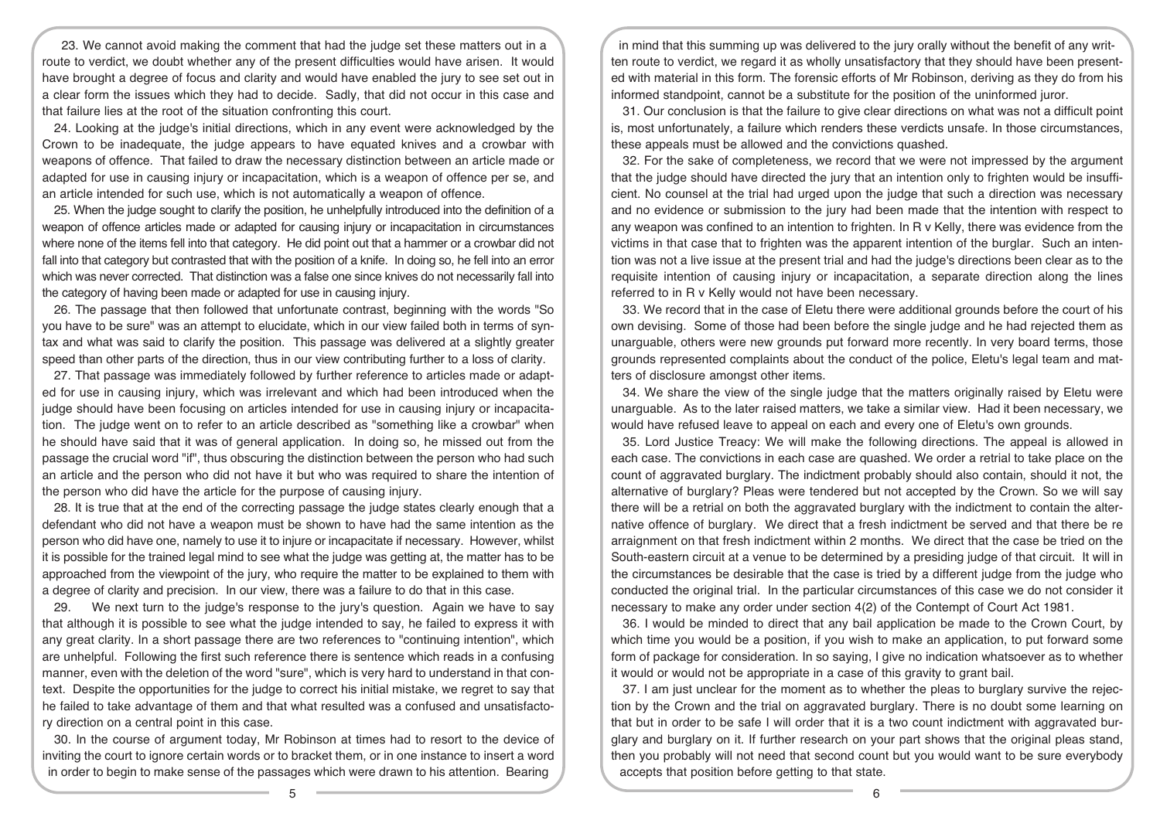23. We cannot avoid making the comment that had the judge set these matters out in a route to verdict, we doubt whether any of the present difficulties would have arisen. It would have brought a degree of focus and clarity and would have enabled the jury to see set out in a clear form the issues which they had to decide. Sadly, that did not occur in this case and that failure lies at the root of the situation confronting this court.

24. Looking at the judge's initial directions, which in any event were acknowledged by the Crown to be inadequate, the judge appears to have equated knives and a crowbar with weapons of offence. That failed to draw the necessary distinction between an article made or adapted for use in causing injury or incapacitation, which is a weapon of offence per se, and an article intended for such use, which is not automatically a weapon of offence.

25. When the judge sought to clarify the position, he unhelpfully introduced into the definition of a weapon of offence articles made or adapted for causing injury or incapacitation in circumstances where none of the items fell into that category. He did point out that a hammer or a crowbar did not fall into that category but contrasted that with the position of a knife. In doing so, he fell into an error which was never corrected. That distinction was a false one since knives do not necessarily fall into the category of having been made or adapted for use in causing injury.

26. The passage that then followed that unfortunate contrast, beginning with the words "So you have to be sure" was an attempt to elucidate, which in our view failed both in terms of syntax and what was said to clarify the position. This passage was delivered at a slightly greater speed than other parts of the direction, thus in our view contributing further to a loss of clarity.

27. That passage was immediately followed by further reference to articles made or adapted for use in causing injury, which was irrelevant and which had been introduced when the judge should have been focusing on articles intended for use in causing injury or incapacitation. The judge went on to refer to an article described as "something like a crowbar" when he should have said that it was of general application. In doing so, he missed out from the passage the crucial word "if", thus obscuring the distinction between the person who had such an article and the person who did not have it but who was required to share the intention of the person who did have the article for the purpose of causing injury.

28. It is true that at the end of the correcting passage the judge states clearly enough that a defendant who did not have a weapon must be shown to have had the same intention as the person who did have one, namely to use it to injure or incapacitate if necessary. However, whilst it is possible for the trained legal mind to see what the judge was getting at, the matter has to be approached from the viewpoint of the jury, who require the matter to be explained to them with a degree of clarity and precision. In our view, there was a failure to do that in this case.

29. We next turn to the judge's response to the jury's question. Again we have to say that although it is possible to see what the judge intended to say, he failed to express it with any great clarity. In a short passage there are two references to "continuing intention", which are unhelpful. Following the first such reference there is sentence which reads in a confusing manner, even with the deletion of the word "sure", which is very hard to understand in that context. Despite the opportunities for the judge to correct his initial mistake, we regret to say that he failed to take advantage of them and that what resulted was a confused and unsatisfactory direction on a central point in this case.

30. In the course of argument today, Mr Robinson at times had to resort to the device of inviting the court to ignore certain words or to bracket them, or in one instance to insert a word in order to begin to make sense of the passages which were drawn to his attention. Bearing

in mind that this summing up was delivered to the jury orally without the benefit of any written route to verdict, we regard it as wholly unsatisfactory that they should have been presented with material in this form. The forensic efforts of Mr Robinson, deriving as they do from his informed standpoint, cannot be a substitute for the position of the uninformed juror.

31. Our conclusion is that the failure to give clear directions on what was not a difficult point is, most unfortunately, a failure which renders these verdicts unsafe. In those circumstances, these appeals must be allowed and the convictions quashed.

32. For the sake of completeness, we record that we were not impressed by the argument that the judge should have directed the jury that an intention only to frighten would be insufficient. No counsel at the trial had urged upon the judge that such a direction was necessary and no evidence or submission to the jury had been made that the intention with respect to any weapon was confined to an intention to frighten. In R v Kelly, there was evidence from the victims in that case that to frighten was the apparent intention of the burglar. Such an intention was not a live issue at the present trial and had the judge's directions been clear as to the requisite intention of causing injury or incapacitation, a separate direction along the lines referred to in R v Kelly would not have been necessary.

33. We record that in the case of Eletu there were additional grounds before the court of his own devising. Some of those had been before the single judge and he had rejected them as unarguable, others were new grounds put forward more recently. In very board terms, those grounds represented complaints about the conduct of the police, Eletu's legal team and matters of disclosure amongst other items.

34. We share the view of the single judge that the matters originally raised by Eletu were unarguable. As to the later raised matters, we take a similar view. Had it been necessary, we would have refused leave to appeal on each and every one of Eletu's own grounds.

35. Lord Justice Treacy: We will make the following directions. The appeal is allowed in each case. The convictions in each case are quashed. We order a retrial to take place on the count of aggravated burglary. The indictment probably should also contain, should it not, the alternative of burglary? Pleas were tendered but not accepted by the Crown. So we will say there will be a retrial on both the aggravated burglary with the indictment to contain the alternative offence of burglary. We direct that a fresh indictment be served and that there be re arraignment on that fresh indictment within 2 months. We direct that the case be tried on the South-eastern circuit at a venue to be determined by a presiding judge of that circuit. It will in the circumstances be desirable that the case is tried by a different judge from the judge who conducted the original trial. In the particular circumstances of this case we do not consider it necessary to make any order under section 4(2) of the Contempt of Court Act 1981.

36. I would be minded to direct that any bail application be made to the Crown Court, by which time you would be a position, if you wish to make an application, to put forward some form of package for consideration. In so saying, I give no indication whatsoever as to whether it would or would not be appropriate in a case of this gravity to grant bail.

37. I am just unclear for the moment as to whether the pleas to burglary survive the rejection by the Crown and the trial on aggravated burglary. There is no doubt some learning on that but in order to be safe I will order that it is a two count indictment with aggravated burglary and burglary on it. If further research on your part shows that the original pleas stand, then you probably will not need that second count but you would want to be sure everybody accepts that position before getting to that state.